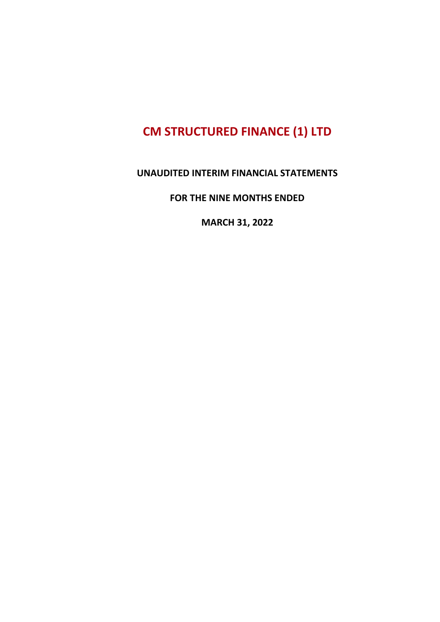#### **UNAUDITED INTERIM FINANCIAL STATEMENTS**

**FOR THE NINE MONTHS ENDED**

**MARCH 31, 2022**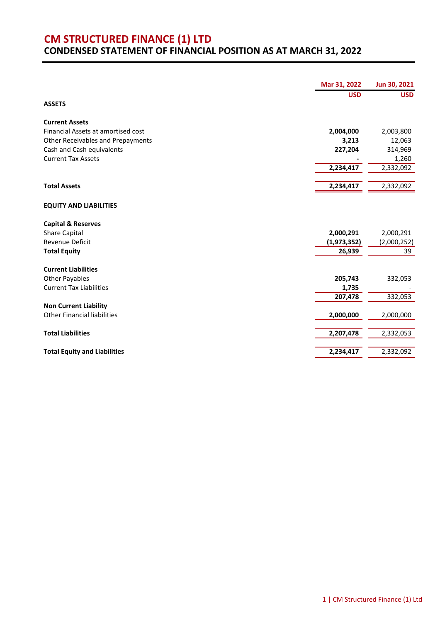#### **CM STRUCTURED FINANCE (1) LTD CONDENSED STATEMENT OF FINANCIAL POSITION AS AT MARCH 31, 2022**

| <b>USD</b><br><b>USD</b><br>2,004,000<br>2,003,800<br>3,213<br>12,063<br>227,204<br>314,969<br><b>Current Tax Assets</b><br>1,260<br>2,234,417<br>2,332,092<br>2,234,417<br>2,332,092<br>2,000,291<br>2,000,291<br>(1,973,352)<br>(2,000,252)<br>26,939<br>39<br>205,743<br>332,053<br><b>Current Tax Liabilities</b><br>1,735<br>207,478<br>332,053<br>2,000,000<br>2,000,000<br>2,207,478<br>2,332,053<br>2,234,417<br>2,332,092 |                                     | Mar 31, 2022 | Jun 30, 2021 |
|------------------------------------------------------------------------------------------------------------------------------------------------------------------------------------------------------------------------------------------------------------------------------------------------------------------------------------------------------------------------------------------------------------------------------------|-------------------------------------|--------------|--------------|
|                                                                                                                                                                                                                                                                                                                                                                                                                                    |                                     |              |              |
|                                                                                                                                                                                                                                                                                                                                                                                                                                    | <b>ASSETS</b>                       |              |              |
|                                                                                                                                                                                                                                                                                                                                                                                                                                    | <b>Current Assets</b>               |              |              |
|                                                                                                                                                                                                                                                                                                                                                                                                                                    | Financial Assets at amortised cost  |              |              |
|                                                                                                                                                                                                                                                                                                                                                                                                                                    | Other Receivables and Prepayments   |              |              |
|                                                                                                                                                                                                                                                                                                                                                                                                                                    | Cash and Cash equivalents           |              |              |
|                                                                                                                                                                                                                                                                                                                                                                                                                                    |                                     |              |              |
|                                                                                                                                                                                                                                                                                                                                                                                                                                    |                                     |              |              |
|                                                                                                                                                                                                                                                                                                                                                                                                                                    | <b>Total Assets</b>                 |              |              |
|                                                                                                                                                                                                                                                                                                                                                                                                                                    | <b>EQUITY AND LIABILITIES</b>       |              |              |
|                                                                                                                                                                                                                                                                                                                                                                                                                                    | <b>Capital &amp; Reserves</b>       |              |              |
|                                                                                                                                                                                                                                                                                                                                                                                                                                    | <b>Share Capital</b>                |              |              |
|                                                                                                                                                                                                                                                                                                                                                                                                                                    | <b>Revenue Deficit</b>              |              |              |
|                                                                                                                                                                                                                                                                                                                                                                                                                                    | <b>Total Equity</b>                 |              |              |
|                                                                                                                                                                                                                                                                                                                                                                                                                                    | <b>Current Liabilities</b>          |              |              |
|                                                                                                                                                                                                                                                                                                                                                                                                                                    | <b>Other Payables</b>               |              |              |
|                                                                                                                                                                                                                                                                                                                                                                                                                                    |                                     |              |              |
|                                                                                                                                                                                                                                                                                                                                                                                                                                    |                                     |              |              |
|                                                                                                                                                                                                                                                                                                                                                                                                                                    | <b>Non Current Liability</b>        |              |              |
|                                                                                                                                                                                                                                                                                                                                                                                                                                    | <b>Other Financial liabilities</b>  |              |              |
|                                                                                                                                                                                                                                                                                                                                                                                                                                    | <b>Total Liabilities</b>            |              |              |
|                                                                                                                                                                                                                                                                                                                                                                                                                                    |                                     |              |              |
|                                                                                                                                                                                                                                                                                                                                                                                                                                    | <b>Total Equity and Liabilities</b> |              |              |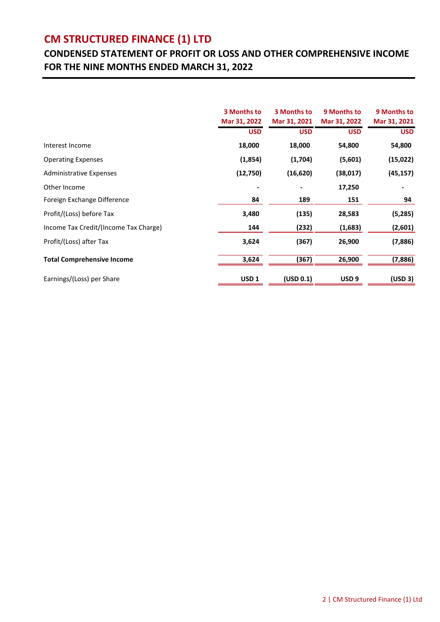## **CONDENSED STATEMENT OF PROFIT OR LOSS AND OTHER COMPREHENSIVE INCOME FOR THE NINE MONTHS ENDED MARCH 31, 2022**

|                                       | 3 Months to<br>Mar 31, 2022 | 3 Months to<br>Mar 31, 2021 | 9 Months to<br>Mar 31, 2022 | 9 Months to<br>Mar 31, 2021 |
|---------------------------------------|-----------------------------|-----------------------------|-----------------------------|-----------------------------|
|                                       | <b>USD</b>                  | <b>USD</b>                  | <b>USD</b>                  | <b>USD</b>                  |
| Interest Income                       | 18,000                      | 18,000                      | 54,800                      | 54,800                      |
| <b>Operating Expenses</b>             | (1,854)                     | (1,704)                     | (5,601)                     | (15, 022)                   |
| <b>Administrative Expenses</b>        | (12,750)                    | (16, 620)                   | (38,017)                    | (45, 157)                   |
| Other Income                          |                             |                             | 17,250                      |                             |
| Foreign Exchange Difference           | 84                          | 189                         | 151                         | 94                          |
| Profit/(Loss) before Tax              | 3,480                       | (135)                       | 28,583                      | (5,285)                     |
| Income Tax Credit/(Income Tax Charge) | 144                         | (232)                       | (1,683)                     | (2,601)                     |
| Profit/(Loss) after Tax               | 3,624                       | (367)                       | 26,900                      | (7,886)                     |
| <b>Total Comprehensive Income</b>     | 3,624                       | (367)                       | 26,900                      | (7,886)                     |
| Earnings/(Loss) per Share             | USD <sub>1</sub>            | (USD 0.1)                   | USD <sub>9</sub>            | (USD 3)                     |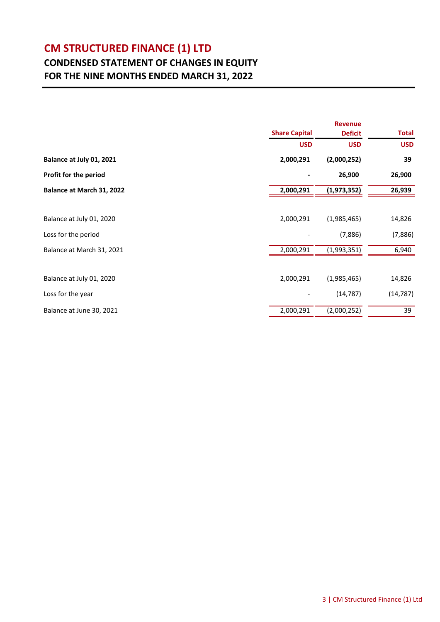### **CONDENSED STATEMENT OF CHANGES IN EQUITY FOR THE NINE MONTHS ENDED MARCH 31, 2022**

|                           | <b>Revenue</b>       |                |              |  |
|---------------------------|----------------------|----------------|--------------|--|
|                           | <b>Share Capital</b> | <b>Deficit</b> | <b>Total</b> |  |
|                           | <b>USD</b>           | <b>USD</b>     | <b>USD</b>   |  |
| Balance at July 01, 2021  | 2,000,291            | (2,000,252)    | 39           |  |
| Profit for the period     |                      | 26,900         | 26,900       |  |
| Balance at March 31, 2022 | 2,000,291            | (1,973,352)    | 26,939       |  |
|                           |                      |                |              |  |
| Balance at July 01, 2020  | 2,000,291            | (1,985,465)    | 14,826       |  |
| Loss for the period       |                      | (7,886)        | (7,886)      |  |
| Balance at March 31, 2021 | 2,000,291            | (1,993,351)    | 6,940        |  |
|                           |                      |                |              |  |
| Balance at July 01, 2020  | 2,000,291            | (1,985,465)    | 14,826       |  |
| Loss for the year         |                      | (14, 787)      | (14, 787)    |  |
| Balance at June 30, 2021  | 2,000,291            | (2,000,252)    | 39           |  |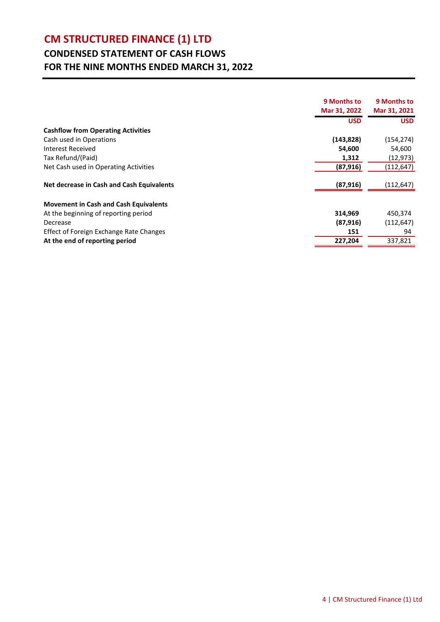## **CONDENSED STATEMENT OF CASH FLOWS FOR THE NINE MONTHS ENDED MARCH 31, 2022**

|                                              | 9 Months to  | 9 Months to  |
|----------------------------------------------|--------------|--------------|
|                                              | Mar 31, 2022 | Mar 31, 2021 |
|                                              | <b>USD</b>   | <b>USD</b>   |
| <b>Cashflow from Operating Activities</b>    |              |              |
| Cash used in Operations                      | (143,828)    | (154, 274)   |
| <b>Interest Received</b>                     | 54,600       | 54,600       |
| Tax Refund/(Paid)                            | 1,312        | (12, 973)    |
| Net Cash used in Operating Activities        | (87, 916)    | (112,647)    |
| Net decrease in Cash and Cash Equivalents    | (87, 916)    | (112,647)    |
| <b>Movement in Cash and Cash Equivalents</b> |              |              |
| At the beginning of reporting period         | 314,969      | 450,374      |
| Decrease                                     | (87, 916)    | (112, 647)   |
| Effect of Foreign Exchange Rate Changes      | 151          | 94           |
| At the end of reporting period               | 227,204      | 337,821      |